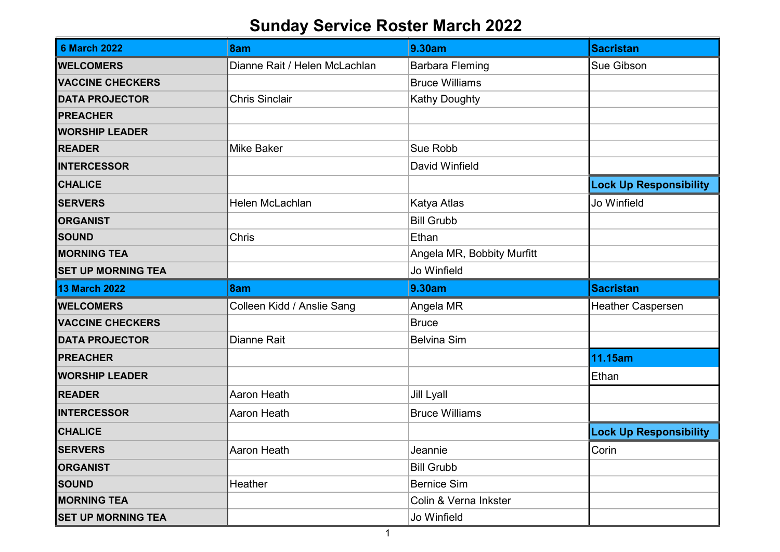## Sunday Service Roster March 2022

| <b>6 March 2022</b>       | 8am                           | 9.30am                     | <b>Sacristan</b>              |
|---------------------------|-------------------------------|----------------------------|-------------------------------|
| <b>WELCOMERS</b>          | Dianne Rait / Helen McLachlan | <b>Barbara Fleming</b>     | <b>Sue Gibson</b>             |
| <b>VACCINE CHECKERS</b>   |                               | <b>Bruce Williams</b>      |                               |
| <b>DATA PROJECTOR</b>     | <b>Chris Sinclair</b>         | Kathy Doughty              |                               |
| <b>PREACHER</b>           |                               |                            |                               |
| <b>WORSHIP LEADER</b>     |                               |                            |                               |
| <b>READER</b>             | <b>Mike Baker</b>             | Sue Robb                   |                               |
| <b>INTERCESSOR</b>        |                               | David Winfield             |                               |
| <b>CHALICE</b>            |                               |                            | <b>Lock Up Responsibility</b> |
| <b>SERVERS</b>            | Helen McLachlan               | Katya Atlas                | Jo Winfield                   |
| <b>ORGANIST</b>           |                               | <b>Bill Grubb</b>          |                               |
| <b>SOUND</b>              | Chris                         | Ethan                      |                               |
| <b>MORNING TEA</b>        |                               | Angela MR, Bobbity Murfitt |                               |
| <b>SET UP MORNING TEA</b> |                               | Jo Winfield                |                               |
|                           |                               |                            |                               |
| <b>13 March 2022</b>      | 8am                           | 9.30am                     | <b>Sacristan</b>              |
| <b>WELCOMERS</b>          | Colleen Kidd / Anslie Sang    | Angela MR                  | Heather Caspersen             |
| <b>VACCINE CHECKERS</b>   |                               | <b>Bruce</b>               |                               |
| <b>DATA PROJECTOR</b>     | Dianne Rait                   | <b>Belvina Sim</b>         |                               |
| <b>PREACHER</b>           |                               |                            | 11.15am                       |
| <b>WORSHIP LEADER</b>     |                               |                            | Ethan                         |
| <b>READER</b>             | <b>Aaron Heath</b>            | <b>Jill Lyall</b>          |                               |
| <b>INTERCESSOR</b>        | Aaron Heath                   | <b>Bruce Williams</b>      |                               |
| <b>CHALICE</b>            |                               |                            | <b>Lock Up Responsibility</b> |
| <b>SERVERS</b>            | Aaron Heath                   | Jeannie                    | Corin                         |
| <b>ORGANIST</b>           |                               | <b>Bill Grubb</b>          |                               |
| <b>SOUND</b>              | Heather                       | <b>Bernice Sim</b>         |                               |
| <b>MORNING TEA</b>        |                               | Colin & Verna Inkster      |                               |